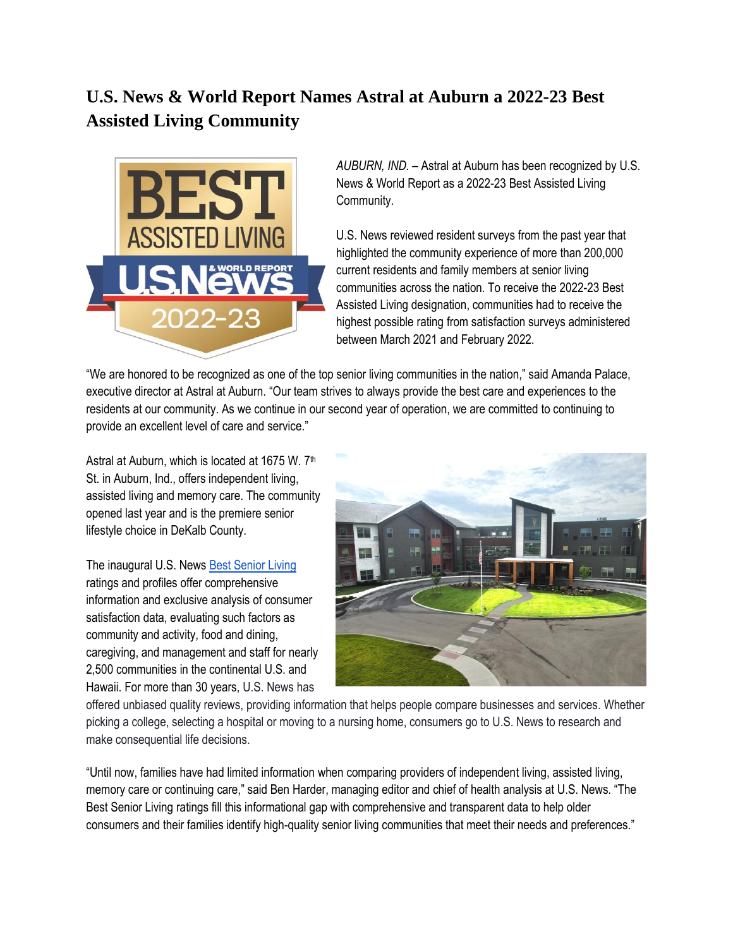## **U.S. News & World Report Names Astral at Auburn a 2022-23 Best Assisted Living Community**



*AUBURN, IND.* – Astral at Auburn has been recognized by U.S. News & World Report as a 2022-23 Best Assisted Living Community.

U.S. News reviewed resident surveys from the past year that highlighted the community experience of more than 200,000 current residents and family members at senior living communities across the nation. To receive the 2022-23 Best Assisted Living designation, communities had to receive the highest possible rating from satisfaction surveys administered between March 2021 and February 2022.

"We are honored to be recognized as one of the top senior living communities in the nation," said Amanda Palace, executive director at Astral at Auburn. "Our team strives to always provide the best care and experiences to the residents at our community. As we continue in our second year of operation, we are committed to continuing to provide an excellent level of care and service."

Astral at Auburn, which is located at 1675 W.  $7<sup>th</sup>$ St. in Auburn, Ind., offers independent living, assisted living and memory care. The community opened last year and is the premiere senior lifestyle choice in DeKalb County.

The inaugural U.S. News [Best Senior Living](http://health.usnews.com/best-senior-living) ratings and profiles offer comprehensive information and exclusive analysis of consumer satisfaction data, evaluating such factors as community and activity, food and dining, caregiving, and management and staff for nearly 2,500 communities in the continental U.S. and Hawaii. For more than 30 years, U.S. News has



offered unbiased quality reviews, providing information that helps people compare businesses and services. Whether picking a college, selecting a hospital or moving to a nursing home, consumers go to U.S. News to research and make consequential life decisions.

"Until now, families have had limited information when comparing providers of independent living, assisted living, memory care or continuing care," said Ben Harder, managing editor and chief of health analysis at U.S. News. "The Best Senior Living ratings fill this informational gap with comprehensive and transparent data to help older consumers and their families identify high-quality senior living communities that meet their needs and preferences."